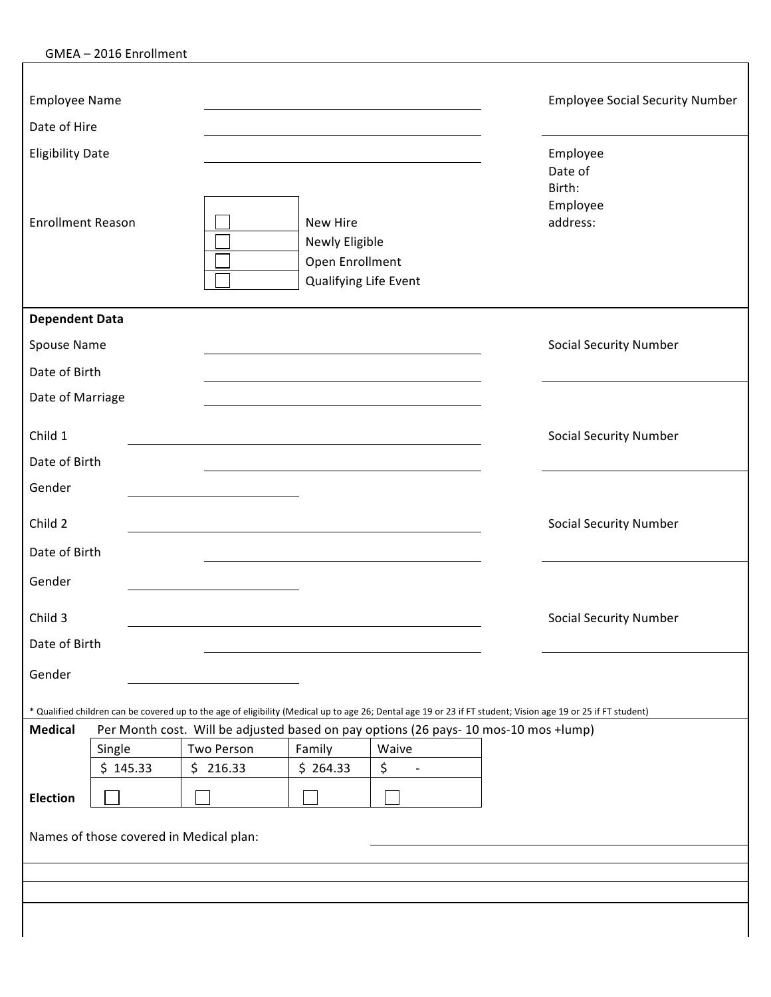|  |  | GMEA-2016 Enrollment |
|--|--|----------------------|
|--|--|----------------------|

| <b>Employee Name</b>     |          |  |                                                                        |          |                                                                                               |          | <b>Employee Social Security Number</b>                                                                                                                        |
|--------------------------|----------|--|------------------------------------------------------------------------|----------|-----------------------------------------------------------------------------------------------|----------|---------------------------------------------------------------------------------------------------------------------------------------------------------------|
| Date of Hire             |          |  |                                                                        |          |                                                                                               |          |                                                                                                                                                               |
| <b>Eligibility Date</b>  |          |  |                                                                        |          |                                                                                               |          | Employee<br>Date of<br>Birth:<br>Employee                                                                                                                     |
| <b>Enrollment Reason</b> |          |  | New Hire<br>Newly Eligible<br>Open Enrollment<br>Qualifying Life Event |          |                                                                                               | address: |                                                                                                                                                               |
| <b>Dependent Data</b>    |          |  |                                                                        |          |                                                                                               |          |                                                                                                                                                               |
| Spouse Name              |          |  |                                                                        |          |                                                                                               |          | <b>Social Security Number</b>                                                                                                                                 |
| Date of Birth            |          |  |                                                                        |          |                                                                                               |          |                                                                                                                                                               |
| Date of Marriage         |          |  |                                                                        |          |                                                                                               |          |                                                                                                                                                               |
| Child 1                  |          |  |                                                                        |          |                                                                                               |          | <b>Social Security Number</b>                                                                                                                                 |
| Date of Birth            |          |  |                                                                        |          |                                                                                               |          |                                                                                                                                                               |
| Gender                   |          |  |                                                                        |          |                                                                                               |          |                                                                                                                                                               |
| Child 2                  |          |  |                                                                        |          |                                                                                               |          | <b>Social Security Number</b>                                                                                                                                 |
| Date of Birth            |          |  |                                                                        |          |                                                                                               |          |                                                                                                                                                               |
| Gender                   |          |  |                                                                        |          |                                                                                               |          |                                                                                                                                                               |
| Child 3                  |          |  |                                                                        |          |                                                                                               |          | <b>Social Security Number</b>                                                                                                                                 |
| Date of Birth            |          |  |                                                                        |          |                                                                                               |          |                                                                                                                                                               |
| Gender                   |          |  |                                                                        |          |                                                                                               |          |                                                                                                                                                               |
|                          |          |  |                                                                        |          |                                                                                               |          | * Qualified children can be covered up to the age of eligibility (Medical up to age 26; Dental age 19 or 23 if FT student; Vision age 19 or 25 if FT student) |
| <b>Medical</b>           | Single   |  | Two Person                                                             | Family   | Per Month cost. Will be adjusted based on pay options (26 pays- 10 mos-10 mos +lump)<br>Waive |          |                                                                                                                                                               |
|                          | \$145.33 |  | \$216.33                                                               | \$264.33 | \$<br>$\overline{\phantom{a}}$                                                                |          |                                                                                                                                                               |
| <b>Election</b>          |          |  |                                                                        |          |                                                                                               |          |                                                                                                                                                               |
|                          |          |  | Names of those covered in Medical plan:                                |          |                                                                                               |          |                                                                                                                                                               |
|                          |          |  |                                                                        |          |                                                                                               |          |                                                                                                                                                               |
|                          |          |  |                                                                        |          |                                                                                               |          |                                                                                                                                                               |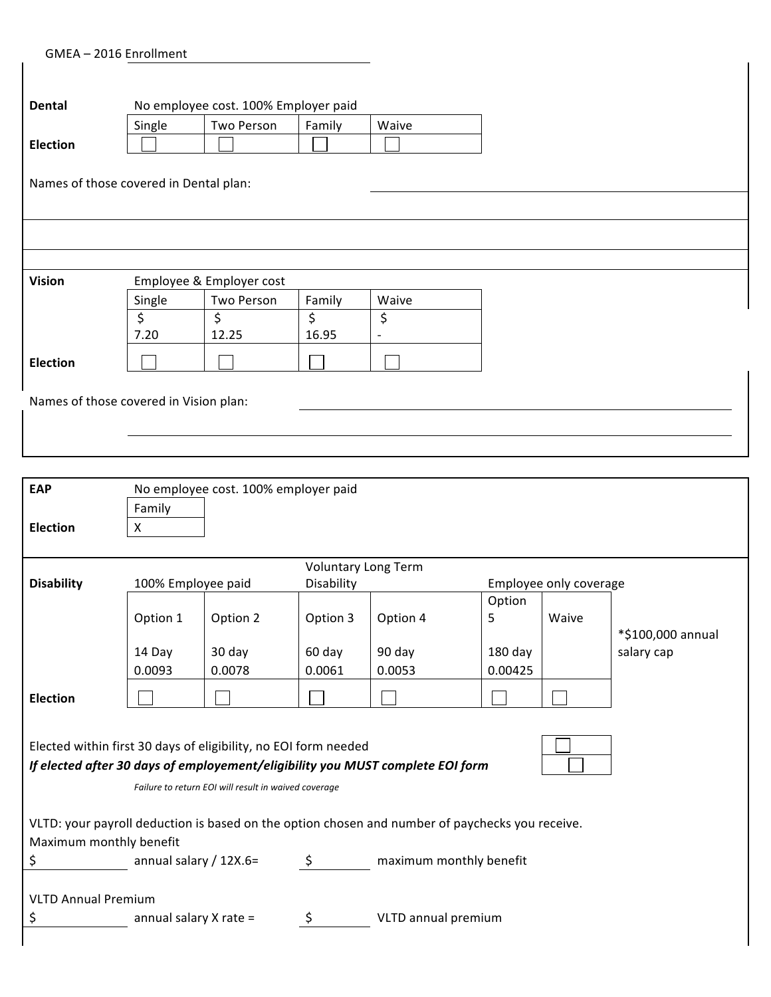GMEA - 2016 Enrollment

 $\mathsf{l}$ 

 $\mathsf{l}$ 

| Dental                                 |                                        | No employee cost. 100% Employer paid |        |                          |  |  |  |
|----------------------------------------|----------------------------------------|--------------------------------------|--------|--------------------------|--|--|--|
|                                        | Single                                 | Two Person                           | Family | Waive                    |  |  |  |
| <b>Election</b>                        |                                        |                                      |        |                          |  |  |  |
|                                        |                                        |                                      |        |                          |  |  |  |
|                                        | Names of those covered in Dental plan: |                                      |        |                          |  |  |  |
|                                        |                                        |                                      |        |                          |  |  |  |
|                                        |                                        |                                      |        |                          |  |  |  |
|                                        |                                        |                                      |        |                          |  |  |  |
|                                        |                                        |                                      |        |                          |  |  |  |
| <b>Vision</b>                          |                                        | Employee & Employer cost             |        |                          |  |  |  |
|                                        | Single                                 | Two Person                           | Family | Waive                    |  |  |  |
|                                        | \$                                     | \$                                   | \$     | \$                       |  |  |  |
|                                        | 7.20                                   | 12.25                                | 16.95  | $\overline{\phantom{a}}$ |  |  |  |
| <b>Election</b>                        |                                        |                                      |        |                          |  |  |  |
|                                        |                                        |                                      |        |                          |  |  |  |
| Names of those covered in Vision plan: |                                        |                                      |        |                          |  |  |  |
|                                        |                                        |                                      |        |                          |  |  |  |
|                                        |                                        |                                      |        |                          |  |  |  |
|                                        |                                        |                                      |        |                          |  |  |  |

 $\overline{1}$ 

| <b>EAP</b>                                                                                      | No employee cost. 100% employer paid |          |                            |                                                                                |                        |       |                                 |
|-------------------------------------------------------------------------------------------------|--------------------------------------|----------|----------------------------|--------------------------------------------------------------------------------|------------------------|-------|---------------------------------|
|                                                                                                 | Family                               |          |                            |                                                                                |                        |       |                                 |
| <b>Election</b>                                                                                 | X                                    |          |                            |                                                                                |                        |       |                                 |
|                                                                                                 |                                      |          |                            |                                                                                |                        |       |                                 |
|                                                                                                 |                                      |          | <b>Voluntary Long Term</b> |                                                                                |                        |       |                                 |
| <b>Disability</b>                                                                               | 100% Employee paid                   |          | Disability                 |                                                                                | Employee only coverage |       |                                 |
|                                                                                                 |                                      |          |                            |                                                                                | Option                 |       |                                 |
|                                                                                                 | Option 1                             | Option 2 | Option 3                   | Option 4                                                                       | 5                      | Waive |                                 |
|                                                                                                 | 14 Day                               | 30 day   | 60 day                     | 90 day                                                                         | $180$ day              |       | *\$100,000 annual<br>salary cap |
|                                                                                                 | 0.0093                               | 0.0078   | 0.0061                     | 0.0053                                                                         | 0.00425                |       |                                 |
|                                                                                                 |                                      |          |                            |                                                                                |                        |       |                                 |
| <b>Election</b>                                                                                 |                                      |          |                            |                                                                                |                        |       |                                 |
|                                                                                                 |                                      |          |                            |                                                                                |                        |       |                                 |
| Elected within first 30 days of eligibility, no EOI form needed                                 |                                      |          |                            |                                                                                |                        |       |                                 |
|                                                                                                 |                                      |          |                            | If elected after 30 days of employement/eligibility you MUST complete EOI form |                        |       |                                 |
|                                                                                                 |                                      |          |                            |                                                                                |                        |       |                                 |
| Failure to return EOI will result in waived coverage                                            |                                      |          |                            |                                                                                |                        |       |                                 |
| VLTD: your payroll deduction is based on the option chosen and number of paychecks you receive. |                                      |          |                            |                                                                                |                        |       |                                 |
| Maximum monthly benefit                                                                         |                                      |          |                            |                                                                                |                        |       |                                 |
| \$                                                                                              | annual salary / $12X.6=$             |          | $\zeta$                    | maximum monthly benefit                                                        |                        |       |                                 |
|                                                                                                 |                                      |          |                            |                                                                                |                        |       |                                 |
|                                                                                                 |                                      |          |                            |                                                                                |                        |       |                                 |
|                                                                                                 |                                      |          |                            |                                                                                |                        |       |                                 |
| <b>VLTD Annual Premium</b><br>\$<br>annual salary $X$ rate =<br>\$<br>VLTD annual premium       |                                      |          |                            |                                                                                |                        |       |                                 |